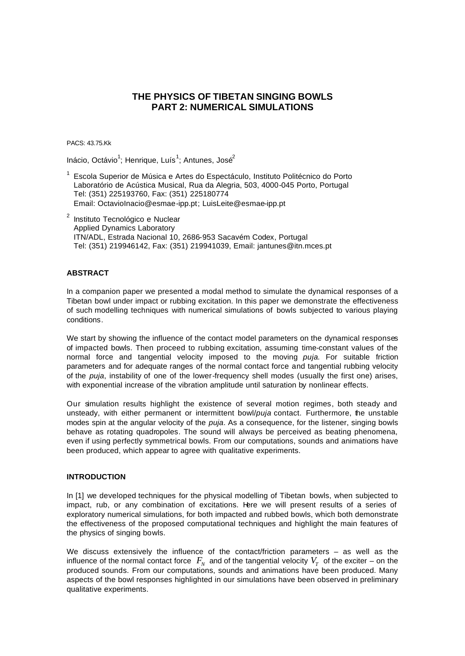# **THE PHYSICS OF TIBETAN SINGING BOWLS PART 2: NUMERICAL SIMULATIONS**

PACS: 43.75.Kk

Inácio, Octávio<sup>1</sup>; Henrique, Luís<sup>1</sup>; Antunes, José<sup>2</sup>

- <sup>1</sup> Escola Superior de Música e Artes do Espectáculo, Instituto Politécnico do Porto Laboratório de Acústica Musical, Rua da Alegria, 503, 4000-045 Porto, Portugal Tel: (351) 225193760, Fax: (351) 225180774 Email: OctavioInacio@esmae-ipp.pt; LuisLeite@esmae-ipp.pt
- <sup>2</sup> Instituto Tecnológico e Nuclear Applied Dynamics Laboratory ITN/ADL, Estrada Nacional 10, 2686-953 Sacavém Codex, Portugal Tel: (351) 219946142, Fax: (351) 219941039, Email: jantunes@itn.mces.pt

# **ABSTRACT**

In a companion paper we presented a modal method to simulate the dynamical responses of a Tibetan bowl under impact or rubbing excitation. In this paper we demonstrate the effectiveness of such modelling techniques with numerical simulations of bowls subjected to various playing conditions.

We start by showing the influence of the contact model parameters on the dynamical responses of impacted bowls. Then proceed to rubbing excitation, assuming time-constant values of the normal force and tangential velocity imposed to the moving *puja*. For suitable friction parameters and for adequate ranges of the normal contact force and tangential rubbing velocity of the *puja*, instability of one of the lower-frequency shell modes (usually the first one) arises, with exponential increase of the vibration amplitude until saturation by nonlinear effects.

Our simulation results highlight the existence of several motion regimes, both steady and unsteady, with either permanent or intermittent bowl/*puja* contact. Furthermore, the unstable modes spin at the angular velocity of the *puja*. As a consequence, for the listener, singing bowls behave as rotating quadropoles. The sound will always be perceived as beating phenomena, even if using perfectly symmetrical bowls. From our computations, sounds and animations have been produced, which appear to agree with qualitative experiments.

## **INTRODUCTION**

In [1] we developed techniques for the physical modelling of Tibetan bowls, when subjected to impact, rub, or any combination of excitations. Here we will present results of a series of exploratory numerical simulations, for both impacted and rubbed bowls, which both demonstrate the effectiveness of the proposed computational techniques and highlight the main features of the physics of singing bowls.

We discuss extensively the influence of the contact/friction parameters – as well as the influence of the normal contact force  $|F_{N}|$  and of the tangential velocity  $V_{T}|$  of the exciter – on the produced sounds. From our computations, sounds and animations have been produced. Many aspects of the bowl responses highlighted in our simulations have been observed in preliminary qualitative experiments.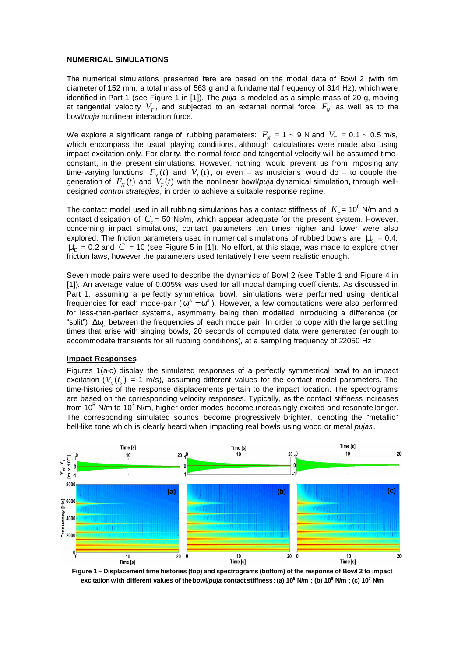#### **NUMERICAL SIMULATIONS**

The numerical simulations presented here are based on the modal data of Bowl 2 (with rim diameter of 152 mm, a total mass of 563 g and a fundamental frequency of 314 Hz), which were identified in Part 1 (see Figure 1 in [1]). The *puja* is modeled as a simple mass of 20 g, moving at tangential velocity  $V_T^{}$ , and subjected to an external normal force  $\,F_{_N}\,$  as well as to the bowl/*puja* nonlinear interaction force.

We explore a significant range of rubbing parameters:  $F_N$  = 1 ~ 9 N and  $V_T$  = 0.1 ~ 0.5 m/s, which encompass the usual playing conditions, although calculations were made also using impact excitation only. For clarity, the normal force and tangential velocity will be assumed timeconstant, in the present simulations. However, nothing would prevent us from imposing any time-varying functions  $F_N(t)$  and  $V_T(t)$ , or even – as musicians would do – to couple the generation of  $\ F_{_N}(t)$  and  $\ V_{_T}(t)$  with the nonlinear bowl/*puja* dynamical simulation, through welldesigned *control strategies*, in order to achieve a suitable response regime.

The contact model used in all rubbing simulations has a contact stiffness of  $|K_c|=10^6$  N/m and a contact dissipation of  $C_c$  = 50 Ns/m, which appear adequate for the present system. However, concerning impact simulations, contact parameters ten times higher and lower were also explored. The friction parameters used in numerical simulations of rubbed bowls are  $m<sub>S</sub> = 0.4$ ,  $\textbf{\emph{n}}_{\!\!D}$  = 0.2 and  $\textit{C}$  = 10 (see Figure 5 in [1]). No effort, at this stage, was made to explore other friction laws, however the parameters used tentatively here seem realistic enough.

Seven mode pairs were used to describe the dynamics of Bowl 2 (see Table 1 and Figure 4 in [1]). An average value of 0.005% was used for all modal damping coefficients. As discussed in Part 1, assuming a perfectly symmetrical bowl, simulations were performed using identical frequencies for each mode-pair (  $w_a^A = w_a^B$  ). However, a few computations were also performed for less-than-perfect systems, asymmetry being then modelled introducing a difference (or "split") Δ*w<sup>n</sup>* between the frequencies of each mode pair. In order to cope with the large settling times that arise with singing bowls, 20 seconds of computed data were generated (enough to accommodate transients for all rubbing conditions), at a sampling frequency of 22050 Hz.

#### **Impact Responses**

Figures 1(a-c) display the simulated responses of a perfectly symmetrical bowl to an impact excitation  $(V_{N}(t_{0}) = 1 \text{ m/s})$ , assuming different values for the contact model parameters. The time-histories of the response displacements pertain to the impact location. The spectrograms are based on the corresponding velocity responses. Typically, as the contact stiffness increases from  $10^5$  N/m to  $10^7$  N/m, higher-order modes become increasingly excited and resonate longer. The corresponding simulated sounds become progressively brighter, denoting the "metallic" bell-like tone which is clearly heard when impacting real bowls using wood or metal *pujas*.



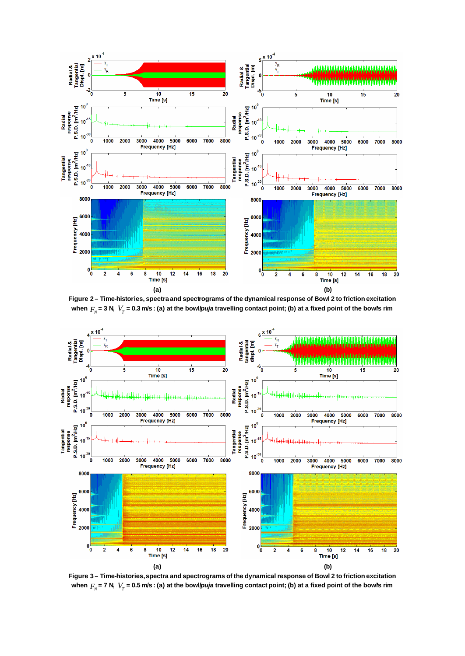

**Figure 2 – Time-histories, spectra and spectrograms of the dynamical response of Bowl 2 to friction excitation** when  $F_{_N}$ = 3 N,  $\ V_{_T}$  = 0.3 m/s : (a) at the bowl/*puja* travelling contact point; (b) at a fixed point of the bowl's rim



**Figure 3 – Time-histories, spectra and spectrograms of the dynamical response of Bowl 2 to friction excitation** when  $F_{_N}$ = 7 N,  $\ V_{_T}$  = 0.5 m/s : (a) at the bowl/*puja* travelling contact point; (b) at a fixed point of the bowl's rim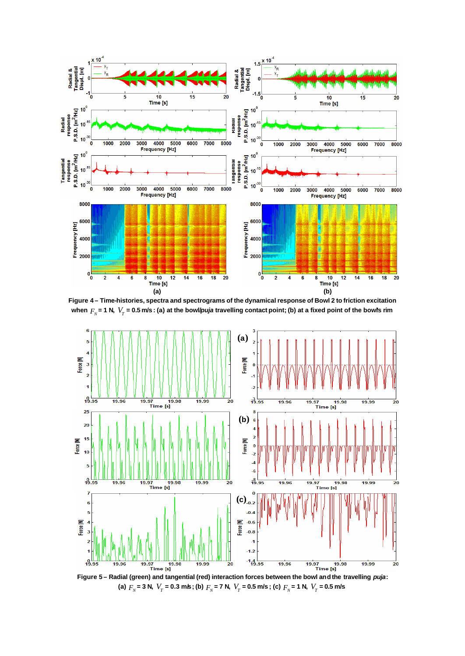

**Figure 4 – Time-histories, spectra and spectrograms of the dynamical response of Bowl 2 to friction excitation**  when  $F_{_N}$ = 1 N,  $\ V_{_T}$  = 0.5 m/s : (a) at the bowl/*puja* travelling contact point; (b) at a fixed point of the bowl's rim



**Figure 5 – Radial (green) and tangential (red) interaction forces between the bowl and the travelling** *puja***:** (a)  $F_N$  = 3 N,  $V_T$  = 0.3 m/s; (b)  $F_N$  = 7 N,  $V_T$  = 0.5 m/s; (c)  $F_N$  = 1 N,  $V_T$  = 0.5 m/s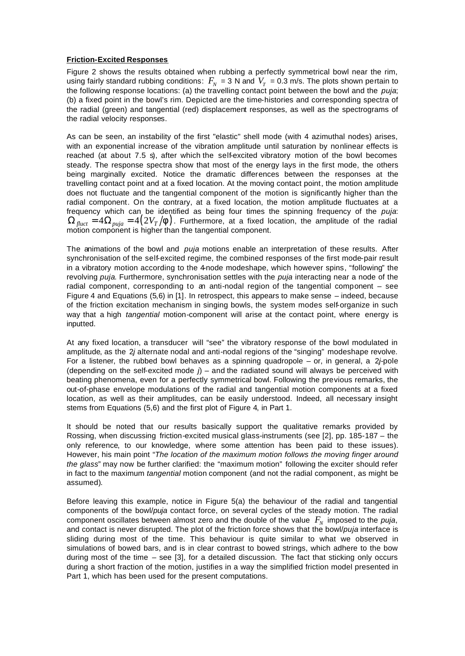## **Friction-Excited Responses**

Figure 2 shows the results obtained when rubbing a perfectly symmetrical bowl near the rim, using fairly standard rubbing conditions:  $F_{\scriptscriptstyle N}$  = 3 N and  $\,V_{\scriptscriptstyle T}$  = 0.3 m/s. The plots shown pertain to the following response locations: (a) the travelling contact point between the bowl and the *puja*; (b) a fixed point in the bowl's rim. Depicted are the time-histories and corresponding spectra of the radial (green) and tangential (red) displacement responses, as well as the spectrograms of the radial velocity responses.

As can be seen, an instability of the first "elastic" shell mode (with 4 azimuthal nodes) arises, with an exponential increase of the vibration amplitude until saturation by nonlinear effects is reached (at about 7.5 s), after which the self-excited vibratory motion of the bowl becomes steady. The response spectra show that most of the energy lays in the first mode, the others being marginally excited. Notice the dramatic differences between the responses at the travelling contact point and at a fixed location. At the moving contact point, the motion amplitude does not fluctuate and the tangential component of the motion is significantly higher than the radial component. On the contrary, at a fixed location, the motion amplitude fluctuates at a frequency which can be identified as being four times the spinning frequency of the *puja*:  $\Omega_{fluct} = 4\Omega_{puja} = 4(2V_T/\mathbf{f})$ . Furthermore, at a fixed location, the amplitude of the radial motion component is higher than the tangential component.

The animations of the bowl and *puja* motions enable an interpretation of these results. After synchronisation of the self-excited regime, the combined responses of the first mode-pair result in a vibratory motion according to the 4-node modeshape, which however spins, "following" the revolving *puja*. Furthermore, synchronisation settles with the *puja* interacting near a node of the radial component, corresponding to an anti-nodal region of the tangential component – see Figure 4 and Equations (5,6) in [1]. In retrospect, this appears to make sense – indeed, because of the friction excitation mechanism in singing bowls, the system modes self-organize in such way that a high *tangential* motion-component will arise at the contact point, where energy is inputted.

At any fixed location, a transducer will "see" the vibratory response of the bowl modulated in amplitude, as the 2*j* alternate nodal and anti-nodal regions of the "singing" modeshape revolve. For a listener, the rubbed bowl behaves as a spinning quadropole – or, in general, a 2*j*-pole (depending on the self-excited mode  $j$ ) – and the radiated sound will always be perceived with beating phenomena, even for a perfectly symmetrical bowl. Following the previous remarks, the out-of-phase envelope modulations of the radial and tangential motion components at a fixed location, as well as their amplitudes, can be easily understood. Indeed, all necessary insight stems from Equations (5,6) and the first plot of Figure 4, in Part 1.

It should be noted that our results basically support the qualitative remarks provided by Rossing, when discussing friction-excited musical glass-instruments (see [2], pp. 185-187 – the only reference, to our knowledge, where some attention has been paid to these issues). However, his main point "*The location of the maximum motion follows the moving finger around the glass*" may now be further clarified: the "maximum motion" following the exciter should refer in fact to the maximum *tangential* motion component (and not the radial component, as might be assumed).

Before leaving this example, notice in Figure 5(a) the behaviour of the radial and tangential components of the bowl/*puja* contact force, on several cycles of the steady motion. The radial component oscillates between almost zero and the double of the value  $\,F_{\!N}\,$  imposed to the  $\rho$ uja, and contact is never disrupted. The plot of the friction force shows that the bowl/*puja* interface is sliding during most of the time. This behaviour is quite similar to what we observed in simulations of bowed bars, and is in clear contrast to bowed strings, which adhere to the bow during most of the time  $-$  see [3], for a detailed discussion. The fact that sticking only occurs during a short fraction of the motion, justifies in a way the simplified friction model presented in Part 1, which has been used for the present computations.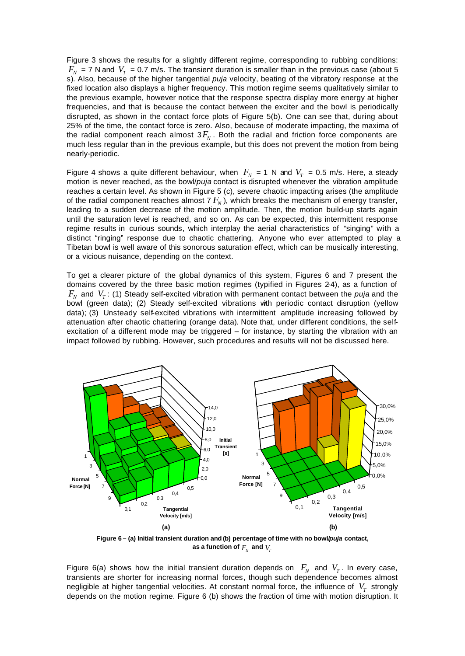Figure 3 shows the results for a slightly different regime, corresponding to rubbing conditions:  $F_N$  = 7 N and  $V_T$  = 0.7 m/s. The transient duration is smaller than in the previous case (about 5 s). Also, because of the higher tangential *puja* velocity, beating of the vibratory response at the fixed location also displays a higher frequency. This motion regime seems qualitatively similar to the previous example, however notice that the response spectra display more energy at higher frequencies, and that is because the contact between the exciter and the bowl is periodically disrupted, as shown in the contact force plots of Figure 5(b). One can see that, during about 25% of the time, the contact force is zero. Also, because of moderate impacting, the maxima of the radial component reach almost  $3F_N$ . Both the radial and friction force components are much less regular than in the previous example, but this does not prevent the motion from being nearly-periodic.

Figure 4 shows a quite different behaviour, when  $F_N = 1$  N and  $V_T = 0.5$  m/s. Here, a steady motion is never reached, as the bowl/*puja* contact is disrupted whenever the vibration amplitude reaches a certain level. As shown in Figure 5 (c), severe chaotic impacting arises (the amplitude of the radial component reaches almost 7  $F_{\scriptscriptstyle N}$  ), which breaks the mechanism of energy transfer, leading to a sudden decrease of the motion amplitude. Then, the motion build-up starts again until the saturation level is reached, and so on. As can be expected, this intermittent response regime results in curious sounds, which interplay the aerial characteristics of "singing" with a distinct "ringing" response due to chaotic chattering. Anyone who ever attempted to play a Tibetan bowl is well aware of this sonorous saturation effect, which can be musically interesting, or a vicious nuisance, depending on the context.

To get a clearer picture of the global dynamics of this system, Figures 6 and 7 present the domains covered by the three basic motion regimes (typified in Figures 2-4), as a function of  $F_N$  and  $V_T$ : (1) Steady self-excited vibration with permanent contact between the *puja* and the bowl (green data); (2) Steady self-excited vibrations with periodic contact disruption (yellow data); (3) Unsteady self-excited vibrations with intermittent amplitude increasing followed by attenuation after chaotic chattering (orange data). Note that, under different conditions, the selfexcitation of a different mode may be triggered – for instance, by starting the vibration with an impact followed by rubbing. However, such procedures and results will not be discussed here.



**Figure 6 – (a) Initial transient duration and (b) percentage of time with no bowl/***puja* **contact,** as a function of  $F_{\scriptscriptstyle N}$  and  $V_{\scriptscriptstyle T}$ 

Figure 6(a) shows how the initial transient duration depends on  $F_N$  and  $V_T$ . In every case, transients are shorter for increasing normal forces, though such dependence becomes almost negligible at higher tangential velocities. At constant normal force, the influence of  $\ V_{_{T}}$  strongly depends on the motion regime. Figure 6 (b) shows the fraction of time with motion disruption. It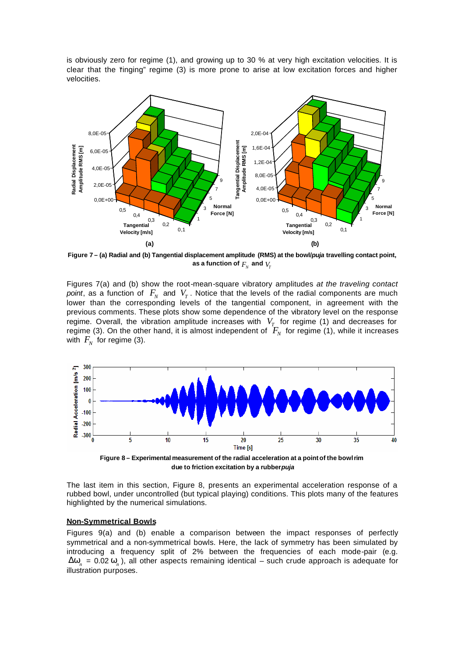is obviously zero for regime (1), and growing up to 30 % at very high excitation velocities. It is clear that the "ringing" regime  $(3)$  is more prone to arise at low excitation forces and higher velocities.



**Figure 7 – (a) Radial and (b) Tangential displacement amplitude (RMS) at the bowl/***puja* **travelling contact point,**  as a function of  $F_{\scriptscriptstyle N}$  and  $V_{\scriptscriptstyle T}$ 

Figures 7(a) and (b) show the root-mean-square vibratory amplitudes *at the traveling contact point*, as a function of  $F_N$  and  $V_T$ . Notice that the levels of the radial components are much lower than the corresponding levels of the tangential component, in agreement with the previous comments. These plots show some dependence of the vibratory level on the response regime. Overall, the vibration amplitude increases with  $V_T$  for regime (1) and decreases for regime (3). On the other hand, it is almost independent of  $F_N$  for regime (1), while it increases with  $F_N^{\parallel}$  for regime (3).



 **due to friction excitation by a rubber** *puja*

The last item in this section, Figure 8, presents an experimental acceleration response of a rubbed bowl, under uncontrolled (but typical playing) conditions. This plots many of the features highlighted by the numerical simulations.

#### **Non-Symmetrical Bowls**

Figures 9(a) and (b) enable a comparison between the impact responses of perfectly symmetrical and a non-symmetrical bowls. Here, the lack of symmetry has been simulated by introducing a frequency split of 2% between the frequencies of each mode-pair (e.g.  $\Delta$ *W*<sub>n</sub> = 0.02 *W*<sub>n</sub>), all other aspects remaining identical – such crude approach is adequate for illustration purposes.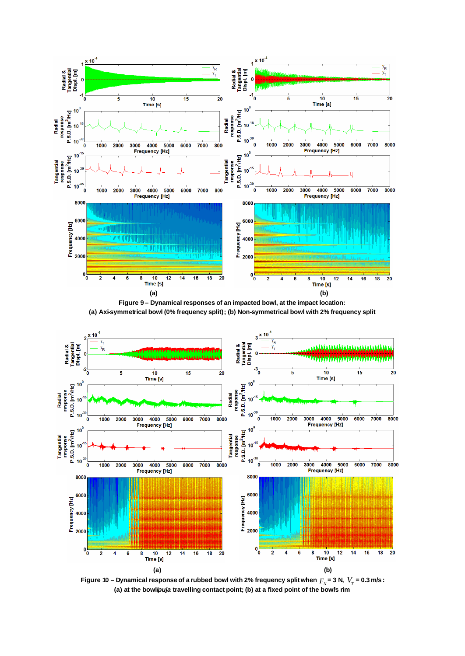





Figure 10 – Dynamical response of a rubbed bowl with 2% frequency split when  $F_{\scriptscriptstyle N}$  = 3 N,  $\ V_{\scriptscriptstyle T}$  = 0.3 m/s : **(a) at the bowl/***puja* **travelling contact point; (b) at a fixed point of the bowl's rim**